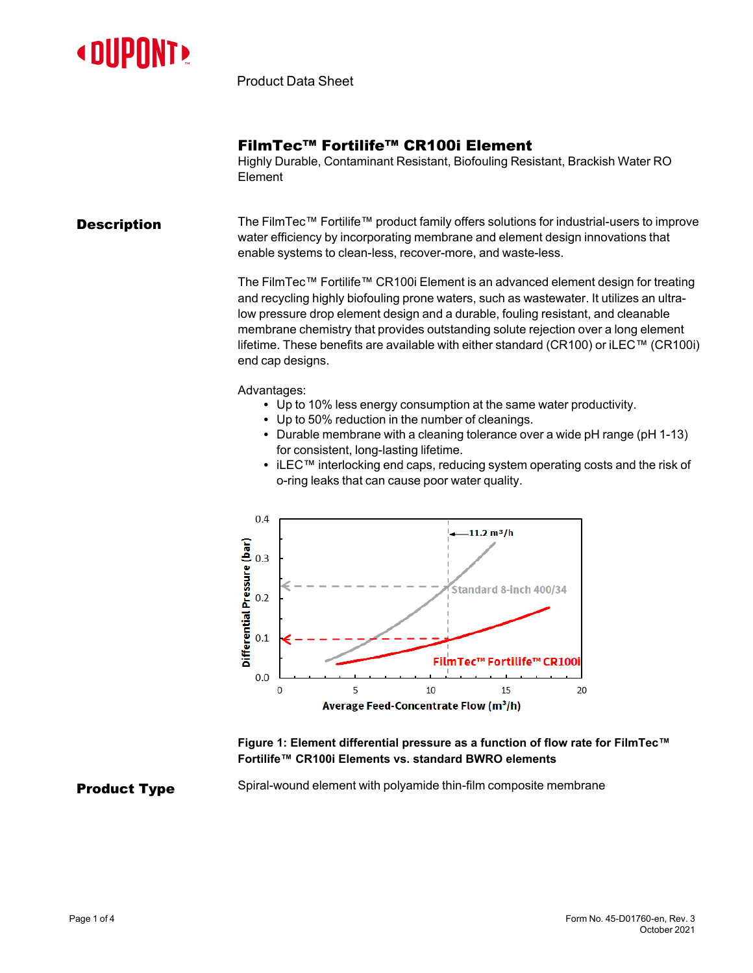

Product Data Sheet

## FilmTec™ Fortilife™ CR100i Element

Highly Durable, Contaminant Resistant, Biofouling Resistant, Brackish Water RO Element

**Description** The FilmTec™ Fortilife™ product family offers solutions for industrial-users to improve water efficiency by incorporating membrane and element design innovations that enable systems to clean-less, recover-more, and waste-less.

> The FilmTec™ Fortilife™ CR100i Element is an advanced element design for treating and recycling highly biofouling prone waters, such as wastewater. It utilizes an ultralow pressure drop element design and a durable, fouling resistant, and cleanable membrane chemistry that provides outstanding solute rejection over a long element lifetime. These benefits are available with either standard (CR100) or iLEC™ (CR100i) end cap designs.

Advantages:

- Up to 10% less energy consumption at the same water productivity.
- Up to 50% reduction in the number of cleanings.
- Durable membrane with a cleaning tolerance over a wide  $pH$  range ( $pH$  1-13) for consistent, long-lasting lifetime.
- iLEC™ interlocking end caps, reducing system operating costs and the risk of o-ring leaks that can cause poor water quality.



### **Figure 1: Element differential pressure as a function of flow rate for FilmTec™ Fortilife™ CR100i Elements vs. standard BWRO elements**

**Product Type** Spiral-wound element with polyamide thin-film composite membrane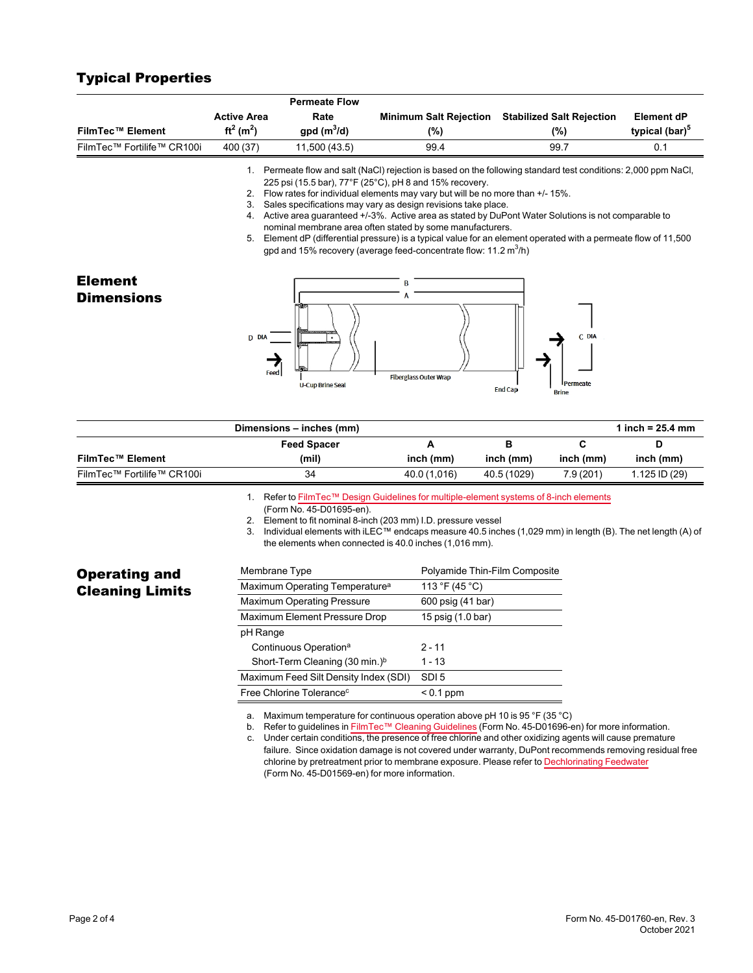# Typical Properties

|                                     |                                                                    | <b>Permeate Flow</b>                                      |                                                                                                                                                                                                                                                                                                                                                                                                                                                                                                                                                                                                                                                                                                   |                |                                   |                            |
|-------------------------------------|--------------------------------------------------------------------|-----------------------------------------------------------|---------------------------------------------------------------------------------------------------------------------------------------------------------------------------------------------------------------------------------------------------------------------------------------------------------------------------------------------------------------------------------------------------------------------------------------------------------------------------------------------------------------------------------------------------------------------------------------------------------------------------------------------------------------------------------------------------|----------------|-----------------------------------|----------------------------|
|                                     | <b>Active Area</b>                                                 | Rate                                                      | <b>Minimum Salt Rejection</b>                                                                                                                                                                                                                                                                                                                                                                                                                                                                                                                                                                                                                                                                     |                | <b>Stabilized Salt Rejection</b>  | <b>Element dP</b>          |
| <b>FilmTec™ Element</b>             | $ft^2(m^2)$                                                        | $gpd(m^3/d)$                                              | $(\%)$                                                                                                                                                                                                                                                                                                                                                                                                                                                                                                                                                                                                                                                                                            |                | (%)                               | typical (bar) <sup>5</sup> |
| FilmTec™ Fortilife™ CR100i          | 400 (37)                                                           | 11,500 (43.5)                                             | 99.4                                                                                                                                                                                                                                                                                                                                                                                                                                                                                                                                                                                                                                                                                              |                | 99.7                              | 0.1                        |
|                                     |                                                                    |                                                           | 1. Permeate flow and salt (NaCl) rejection is based on the following standard test conditions: 2,000 ppm NaCl,<br>225 psi (15.5 bar), 77°F (25°C), pH 8 and 15% recovery.<br>2. Flow rates for individual elements may vary but will be no more than +/- 15%.<br>3. Sales specifications may vary as design revisions take place.<br>4. Active area guaranteed +/-3%. Active area as stated by DuPont Water Solutions is not comparable to<br>nominal membrane area often stated by some manufacturers.<br>5. Element dP (differential pressure) is a typical value for an element operated with a permeate flow of 11,500<br>gpd and 15% recovery (average feed-concentrate flow: 11.2 $m^3/h$ ) |                |                                   |                            |
| <b>Element</b><br><b>Dimensions</b> | D DIA<br>Feed                                                      | <b>U-Cup Brine Seal</b>                                   | A<br><b>Fiberglass Outer Wrap</b>                                                                                                                                                                                                                                                                                                                                                                                                                                                                                                                                                                                                                                                                 | <b>End Cap</b> | C DIA<br>Permeate<br><b>Brine</b> |                            |
|                                     |                                                                    | Dimensions - inches (mm)                                  |                                                                                                                                                                                                                                                                                                                                                                                                                                                                                                                                                                                                                                                                                                   |                |                                   | 1 inch = $25.4$ mm         |
|                                     |                                                                    | <b>Feed Spacer</b>                                        | A                                                                                                                                                                                                                                                                                                                                                                                                                                                                                                                                                                                                                                                                                                 | B              | C                                 | D                          |
| <b>FilmTec™ Element</b>             |                                                                    | (mil)                                                     | inch (mm)                                                                                                                                                                                                                                                                                                                                                                                                                                                                                                                                                                                                                                                                                         | inch (mm)      | inch (mm)                         | inch (mm)                  |
| FilmTec™ Fortilife™ CR100i          |                                                                    | 34                                                        | 40.0 (1,016)                                                                                                                                                                                                                                                                                                                                                                                                                                                                                                                                                                                                                                                                                      | 40.5 (1029)    | 7.9(201)                          | 1.125 ID (29)              |
| <b>Operating and</b>                | Membrane Type                                                      | (Form No. 45-D01695-en).                                  | 1. Refer to FilmTec™ Design Guidelines for multiple-element systems of 8-inch elements<br>2. Element to fit nominal 8-inch (203 mm) I.D. pressure vessel<br>3. Individual elements with iLEC™ endcaps measure 40.5 inches (1,029 mm) in length (B). The net length (A) of<br>the elements when connected is 40.0 inches (1,016 mm).<br>Polyamide Thin-Film Composite<br>113 °F (45 °C)                                                                                                                                                                                                                                                                                                            |                |                                   |                            |
| <b>Cleaning Limits</b>              | Maximum Operating Temperature <sup>a</sup><br>600 psig (41 bar)    |                                                           |                                                                                                                                                                                                                                                                                                                                                                                                                                                                                                                                                                                                                                                                                                   |                |                                   |                            |
|                                     | <b>Maximum Operating Pressure</b><br>Maximum Element Pressure Drop |                                                           |                                                                                                                                                                                                                                                                                                                                                                                                                                                                                                                                                                                                                                                                                                   |                |                                   |                            |
|                                     | 15 psig (1.0 bar)<br>pH Range                                      |                                                           |                                                                                                                                                                                                                                                                                                                                                                                                                                                                                                                                                                                                                                                                                                   |                |                                   |                            |
|                                     | $2 - 11$<br>Continuous Operation <sup>a</sup>                      |                                                           |                                                                                                                                                                                                                                                                                                                                                                                                                                                                                                                                                                                                                                                                                                   |                |                                   |                            |
|                                     | Short-Term Cleaning (30 min.) <sup>b</sup>                         |                                                           | $1 - 13$                                                                                                                                                                                                                                                                                                                                                                                                                                                                                                                                                                                                                                                                                          |                |                                   |                            |
|                                     |                                                                    | Maximum Feed Silt Density Index (SDI)<br>SDI <sub>5</sub> |                                                                                                                                                                                                                                                                                                                                                                                                                                                                                                                                                                                                                                                                                                   |                |                                   |                            |
|                                     |                                                                    | Free Chlorine Tolerance <sup>c</sup><br>$< 0.1$ ppm       |                                                                                                                                                                                                                                                                                                                                                                                                                                                                                                                                                                                                                                                                                                   |                |                                   |                            |

a. Maximum temperature for continuous operation above pH 10 is 95 °F (35 °C)

b. Refer to guidelines in FilmTec™ Cleaning [Guidelines](https://www.dupont.com/content/dam/dupont/amer/us/en/water-solutions/public/documents/en/RO-NF-FilmTec-Cleaning-Procedures-Manual-Exc-45-D01696-en.pdf) (Form No. 45-D01696-en) for more information.

c. Under certain conditions, the presence of free chlorine and other oxidizing agents will cause premature failure. Since oxidation damage is not covered under warranty, DuPont recommends removing residual free chlorine by pretreatment prior to membrane exposure. Please refer to [Dechlorinating](https://www.dupont.com/content/dam/dupont/amer/us/en/water-solutions/public/documents/en/RO-NF-FilmTec-Chlorination-Dechlorination-Manual-Exc-45-D01569-en.pdf) Feedwater (Form No. 45-D01569-en) for more information.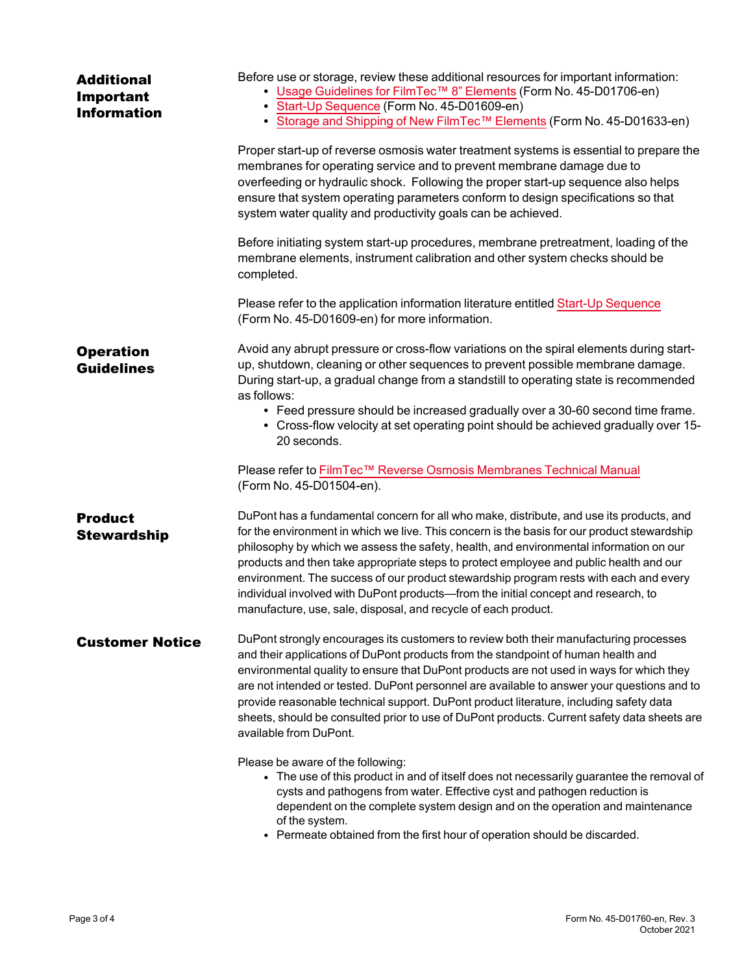| <b>Additional</b><br>Important<br><b>Information</b> | Before use or storage, review these additional resources for important information:<br>• Usage Guidelines for FilmTec™ 8" Elements (Form No. 45-D01706-en)<br>Start-Up Sequence (Form No. 45-D01609-en)<br>• Storage and Shipping of New FilmTec™ Elements (Form No. 45-D01633-en)                                                                                                                                                                                                                                                                                                                                           |
|------------------------------------------------------|------------------------------------------------------------------------------------------------------------------------------------------------------------------------------------------------------------------------------------------------------------------------------------------------------------------------------------------------------------------------------------------------------------------------------------------------------------------------------------------------------------------------------------------------------------------------------------------------------------------------------|
|                                                      | Proper start-up of reverse osmosis water treatment systems is essential to prepare the<br>membranes for operating service and to prevent membrane damage due to<br>overfeeding or hydraulic shock. Following the proper start-up sequence also helps<br>ensure that system operating parameters conform to design specifications so that<br>system water quality and productivity goals can be achieved.                                                                                                                                                                                                                     |
|                                                      | Before initiating system start-up procedures, membrane pretreatment, loading of the<br>membrane elements, instrument calibration and other system checks should be<br>completed.                                                                                                                                                                                                                                                                                                                                                                                                                                             |
|                                                      | Please refer to the application information literature entitled Start-Up Sequence<br>(Form No. 45-D01609-en) for more information.                                                                                                                                                                                                                                                                                                                                                                                                                                                                                           |
| <b>Operation</b><br><b>Guidelines</b>                | Avoid any abrupt pressure or cross-flow variations on the spiral elements during start-<br>up, shutdown, cleaning or other sequences to prevent possible membrane damage.<br>During start-up, a gradual change from a standstill to operating state is recommended<br>as follows:<br>• Feed pressure should be increased gradually over a 30-60 second time frame.<br>• Cross-flow velocity at set operating point should be achieved gradually over 15-<br>20 seconds.                                                                                                                                                      |
|                                                      | Please refer to FilmTec™ Reverse Osmosis Membranes Technical Manual<br>(Form No. 45-D01504-en).                                                                                                                                                                                                                                                                                                                                                                                                                                                                                                                              |
| <b>Product</b><br><b>Stewardship</b>                 | DuPont has a fundamental concern for all who make, distribute, and use its products, and<br>for the environment in which we live. This concern is the basis for our product stewardship<br>philosophy by which we assess the safety, health, and environmental information on our<br>products and then take appropriate steps to protect employee and public health and our<br>environment. The success of our product stewardship program rests with each and every<br>individual involved with DuPont products-from the initial concept and research, to<br>manufacture, use, sale, disposal, and recycle of each product. |
| <b>Customer Notice</b>                               | DuPont strongly encourages its customers to review both their manufacturing processes<br>and their applications of DuPont products from the standpoint of human health and<br>environmental quality to ensure that DuPont products are not used in ways for which they<br>are not intended or tested. DuPont personnel are available to answer your questions and to<br>provide reasonable technical support. DuPont product literature, including safety data<br>sheets, should be consulted prior to use of DuPont products. Current safety data sheets are<br>available from DuPont.                                      |
|                                                      | Please be aware of the following:<br>• The use of this product in and of itself does not necessarily guarantee the removal of<br>cysts and pathogens from water. Effective cyst and pathogen reduction is<br>dependent on the complete system design and on the operation and maintenance<br>of the system.<br>• Permeate obtained from the first hour of operation should be discarded.                                                                                                                                                                                                                                     |